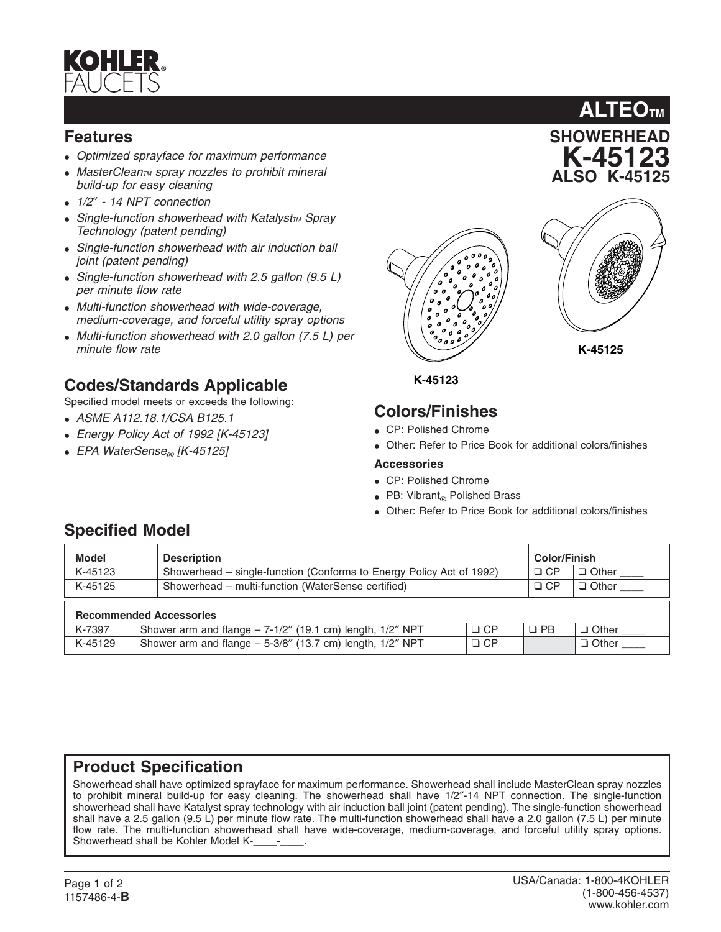

### **Features**

- *Optimized sprayface for maximum performance*
- MasterClean<sub>TM</sub> spray nozzles to prohibit mineral *build-up for easy cleaning*
- *1/2*″  *14 NPT connection*
- Single-function showerhead with Katalyst<sub>TM</sub> Spray *Technology (patent pending)*
- *Single-function showerhead with air induction ball joint (patent pending)*
- *Single-function showerhead with 2.5 gallon (9.5 L) per minute flow rate*
- *Multi-function showerhead with wide-coverage, medium-coverage, and forceful utility spray options*
- *Multi-function showerhead with 2.0 gallon (7.5 L) per minute flow rate*

## **Codes/Standards Applicable**

Specified model meets or exceeds the following:

- *ASME A112.18.1/CSA B125.1*
- *Energy Policy Act of 1992 [K-45123]*
- *EPA WaterSense® [K-45125]*





**SHOWERHEAD K-45123 ALSO K-45125**

**ALTEOTM**

**K-45125**

**K-45123**

# **Colors/Finishes**

- CP: Polished Chrome
- Other: Refer to Price Book for additional colors/finishes

#### **Accessories**

- CP: Polished Chrome
- PB: Vibrant® Polished Brass
- Other: Refer to Price Book for additional colors/finishes

# **Specified Model**

| <b>Model</b>                   | <b>Description</b>                                                          |           | <b>Color/Finish</b>   |  |
|--------------------------------|-----------------------------------------------------------------------------|-----------|-----------------------|--|
| K-45123                        | Showerhead – single-function (Conforms to Energy Policy Act of 1992)        | $\Box$ CP | $\Box$ Other          |  |
| K-45125                        | Showerhead - multi-function (WaterSense certified)                          | $\Box$ CP | D Other <sub>——</sub> |  |
| <b>Recommended Accessories</b> |                                                                             |           |                       |  |
| K-7397                         | $\Box$ CP<br>Shower arm and flange $-7-1/2$ " (19.1 cm) length, $1/2$ " NPT | $\Box$ PB | $\Box$ Other          |  |
| K-45129                        | Shower arm and flange $-5-3/8$ " (13.7 cm) length, $1/2$ " NPT<br>$\Box$ CP |           | $\Box$ Other          |  |

## **Product Specification**

Showerhead shall have optimized sprayface for maximum performance. Showerhead shall include MasterClean spray nozzles to prohibit mineral build-up for easy cleaning. The showerhead shall have 1/2″-14 NPT connection. The single-function showerhead shall have Katalyst spray technology with air induction ball joint (patent pending). The single-function showerhead shall have a 2.5 gallon (9.5 L) per minute flow rate. The multi-function showerhead shall have a 2.0 gallon (7.5 L) per minute flow rate. The multi-function showerhead shall have wide-coverage, medium-coverage, and forceful utility spray options. Showerhead shall be Kohler Model K-